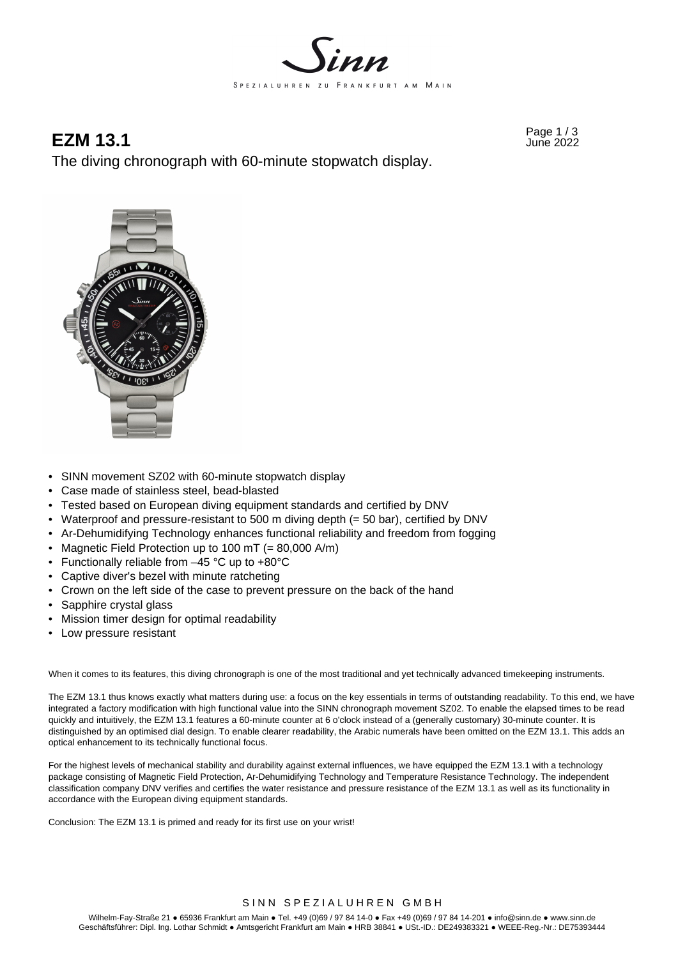

# Page 1 / 3 **EZM 13.1** June 2022

The diving chronograph with 60-minute stopwatch display.



- SINN movement SZ02 with 60-minute stopwatch display
- Case made of stainless steel, bead-blasted
- Tested based on European diving equipment standards and certified by DNV
- Waterproof and pressure-resistant to 500 m diving depth (= 50 bar), certified by DNV
- Ar-Dehumidifying Technology enhances functional reliability and freedom from fogging
- Magnetic Field Protection up to 100 mT (= 80,000 A/m)
- Functionally reliable from –45 °C up to +80°C
- Captive diver's bezel with minute ratcheting
- Crown on the left side of the case to prevent pressure on the back of the hand
- Sapphire crystal glass
- Mission timer design for optimal readability
- Low pressure resistant

When it comes to its features, this diving chronograph is one of the most traditional and yet technically advanced timekeeping instruments.

The EZM 13.1 thus knows exactly what matters during use: a focus on the key essentials in terms of outstanding readability. To this end, we have integrated a factory modification with high functional value into the SINN chronograph movement SZ02. To enable the elapsed times to be read quickly and intuitively, the EZM 13.1 features a 60-minute counter at 6 o'clock instead of a (generally customary) 30-minute counter. It is distinguished by an optimised dial design. To enable clearer readability, the Arabic numerals have been omitted on the EZM 13.1. This adds an optical enhancement to its technically functional focus.

For the highest levels of mechanical stability and durability against external influences, we have equipped the EZM 13.1 with a technology package consisting of Magnetic Field Protection, Ar-Dehumidifying Technology and Temperature Resistance Technology. The independent classification company DNV verifies and certifies the water resistance and pressure resistance of the EZM 13.1 as well as its functionality in accordance with the European diving equipment standards.

Conclusion: The EZM 13.1 is primed and ready for its first use on your wrist!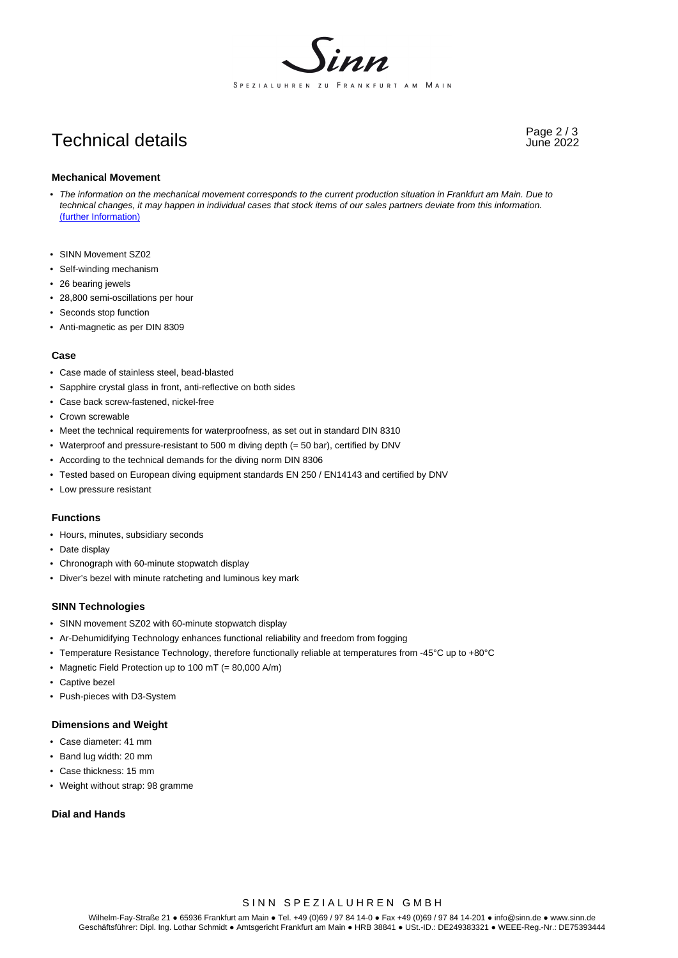

# Page 2 / 3 Technical details June 2022

#### **Mechanical Movement**

- *The information on the mechanical movement corresponds to the current production situation in Frankfurt am Main. Due to technical changes, it may happen in individual cases that stock items of our sales partners deviate from this information.*  (further Information)
- SINN Movement SZ02
- Self-winding mechanism
- 26 bearing jewels
- 28,800 semi-oscillations per hour
- Seconds stop function
- Anti-magnetic as per DIN 8309

#### **Case**

- Case made of stainless steel, bead-blasted
- Sapphire crystal glass in front, anti-reflective on both sides
- Case back screw-fastened, nickel-free
- Crown screwable
- Meet the technical requirements for waterproofness, as set out in standard DIN 8310
- Waterproof and pressure-resistant to 500 m diving depth (= 50 bar), certified by DNV
- According to the technical demands for the diving norm DIN 8306
- Tested based on European diving equipment standards EN 250 / EN14143 and certified by DNV
- Low pressure resistant

### **Functions**

- Hours, minutes, subsidiary seconds
- Date display
- Chronograph with 60-minute stopwatch display
- Diver's bezel with minute ratcheting and luminous key mark

#### **SINN Technologies**

- SINN movement SZ02 with 60-minute stopwatch display
- Ar-Dehumidifying Technology enhances functional reliability and freedom from fogging
- Temperature Resistance Technology, therefore functionally reliable at temperatures from -45°C up to +80°C
- Magnetic Field Protection up to 100 mT (= 80,000 A/m)
- Captive bezel
- Push-pieces with D3-System

#### **Dimensions and Weight**

- Case diameter: 41 mm
- Band lug width: 20 mm
- Case thickness: 15 mm
- Weight without strap: 98 gramme

# **Dial and Hands**

SINN SPEZIALUHREN GMBH